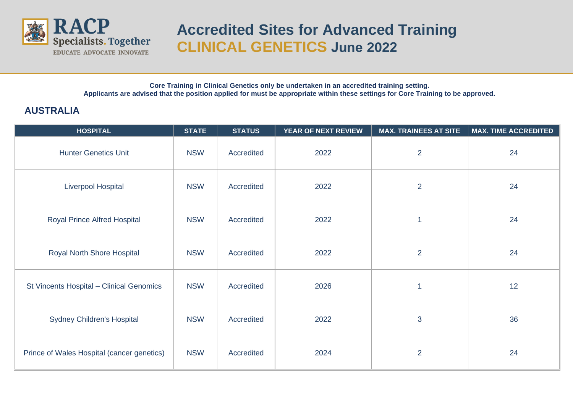

## **Accredited Sites for Advanced Training CLINICAL GENETICS June 2022**

**Core Training in Clinical Genetics only be undertaken in an accredited training setting. Applicants are advised that the position applied for must be appropriate within these settings for Core Training to be approved.**

## **AUSTRALIA**

| <b>HOSPITAL</b>                            | <b>STATE</b> | <b>STATUS</b> | YEAR OF NEXT REVIEW | <b>MAX. TRAINEES AT SITE</b> | <b>MAX. TIME ACCREDITED</b> |
|--------------------------------------------|--------------|---------------|---------------------|------------------------------|-----------------------------|
| <b>Hunter Genetics Unit</b>                | <b>NSW</b>   | Accredited    | 2022                | $\overline{2}$               | 24                          |
| <b>Liverpool Hospital</b>                  | <b>NSW</b>   | Accredited    | 2022                | $\overline{2}$               | 24                          |
| <b>Royal Prince Alfred Hospital</b>        | <b>NSW</b>   | Accredited    | 2022                | 1                            | 24                          |
| Royal North Shore Hospital                 | <b>NSW</b>   | Accredited    | 2022                | $\overline{2}$               | 24                          |
| St Vincents Hospital - Clinical Genomics   | <b>NSW</b>   | Accredited    | 2026                | 1                            | 12                          |
| <b>Sydney Children's Hospital</b>          | <b>NSW</b>   | Accredited    | 2022                | 3                            | 36                          |
| Prince of Wales Hospital (cancer genetics) | <b>NSW</b>   | Accredited    | 2024                | $\overline{2}$               | 24                          |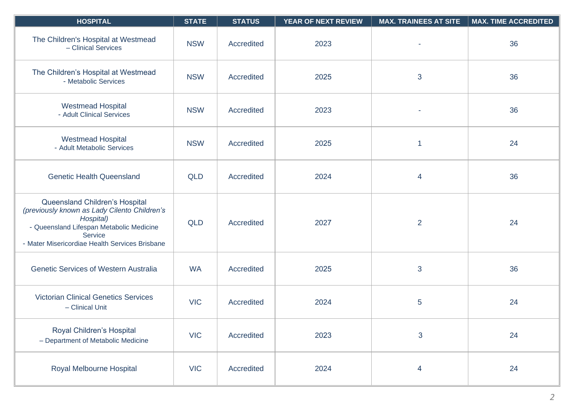| <b>HOSPITAL</b>                                                                                                                                                                                             | <b>STATE</b> | <b>STATUS</b> | YEAR OF NEXT REVIEW | <b>MAX. TRAINEES AT SITE</b> | <b>MAX. TIME ACCREDITED</b> |
|-------------------------------------------------------------------------------------------------------------------------------------------------------------------------------------------------------------|--------------|---------------|---------------------|------------------------------|-----------------------------|
| The Children's Hospital at Westmead<br>- Clinical Services                                                                                                                                                  | <b>NSW</b>   | Accredited    | 2023                |                              | 36                          |
| The Children's Hospital at Westmead<br>- Metabolic Services                                                                                                                                                 | <b>NSW</b>   | Accredited    | 2025                | 3                            | 36                          |
| <b>Westmead Hospital</b><br>- Adult Clinical Services                                                                                                                                                       | <b>NSW</b>   | Accredited    | 2023                |                              | 36                          |
| <b>Westmead Hospital</b><br>- Adult Metabolic Services                                                                                                                                                      | <b>NSW</b>   | Accredited    | 2025                | $\mathbf{1}$                 | 24                          |
| <b>Genetic Health Queensland</b>                                                                                                                                                                            | <b>QLD</b>   | Accredited    | 2024                | $\overline{\mathcal{A}}$     | 36                          |
| Queensland Children's Hospital<br>(previously known as Lady Cilento Children's<br>Hospital)<br>- Queensland Lifespan Metabolic Medicine<br><b>Service</b><br>- Mater Misericordiae Health Services Brisbane | <b>QLD</b>   | Accredited    | 2027                | $\overline{2}$               | 24                          |
| <b>Genetic Services of Western Australia</b>                                                                                                                                                                | <b>WA</b>    | Accredited    | 2025                | 3                            | 36                          |
| <b>Victorian Clinical Genetics Services</b><br>- Clinical Unit                                                                                                                                              | <b>VIC</b>   | Accredited    | 2024                | $\overline{5}$               | 24                          |
| Royal Children's Hospital<br>- Department of Metabolic Medicine                                                                                                                                             | <b>VIC</b>   | Accredited    | 2023                | $\mathbf{3}$                 | 24                          |
| Royal Melbourne Hospital                                                                                                                                                                                    | <b>VIC</b>   | Accredited    | 2024                | $\overline{\mathbf{4}}$      | 24                          |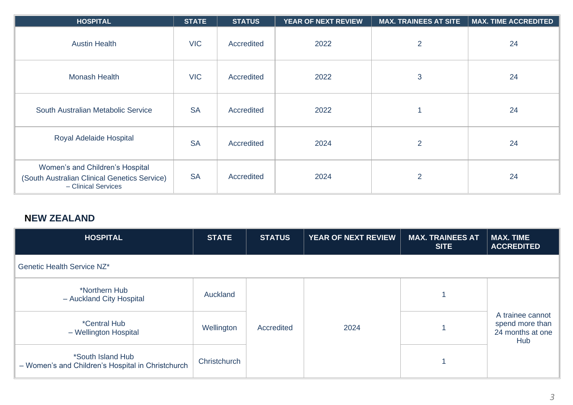| <b>HOSPITAL</b>                                                                                        | <b>STATE</b> | <b>STATUS</b> | YEAR OF NEXT REVIEW | <b>MAX. TRAINEES AT SITE</b> | <b>MAX. TIME ACCREDITED</b> |
|--------------------------------------------------------------------------------------------------------|--------------|---------------|---------------------|------------------------------|-----------------------------|
| <b>Austin Health</b>                                                                                   | <b>VIC</b>   | Accredited    | 2022                | $\overline{2}$               | 24                          |
| <b>Monash Health</b>                                                                                   | <b>VIC</b>   | Accredited    | 2022                | $\mathbf{3}$                 | 24                          |
| South Australian Metabolic Service                                                                     | <b>SA</b>    | Accredited    | 2022                |                              | 24                          |
| Royal Adelaide Hospital                                                                                | <b>SA</b>    | Accredited    | 2024                | $\overline{2}$               | 24                          |
| Women's and Children's Hospital<br>(South Australian Clinical Genetics Service)<br>- Clinical Services | <b>SA</b>    | Accredited    | 2024                | $\overline{2}$               | 24                          |

## **NEW ZEALAND**

| <b>HOSPITAL</b>                                                        | <b>STATE</b> | <b>STATUS</b> | <b>YEAR OF NEXT REVIEW</b> | <b>MAX. TRAINEES AT</b><br><b>SITE</b> | <b>MAX. TIME</b><br><b>ACCREDITED</b>                          |
|------------------------------------------------------------------------|--------------|---------------|----------------------------|----------------------------------------|----------------------------------------------------------------|
| Genetic Health Service NZ*                                             |              |               |                            |                                        |                                                                |
| *Northern Hub<br>- Auckland City Hospital                              | Auckland     |               |                            |                                        |                                                                |
| <i>*Central Hub</i><br>- Wellington Hospital                           | Wellington   | Accredited    | 2024                       |                                        | A trainee cannot<br>spend more than<br>24 months at one<br>Hub |
| *South Island Hub<br>- Women's and Children's Hospital in Christchurch | Christchurch |               |                            |                                        |                                                                |